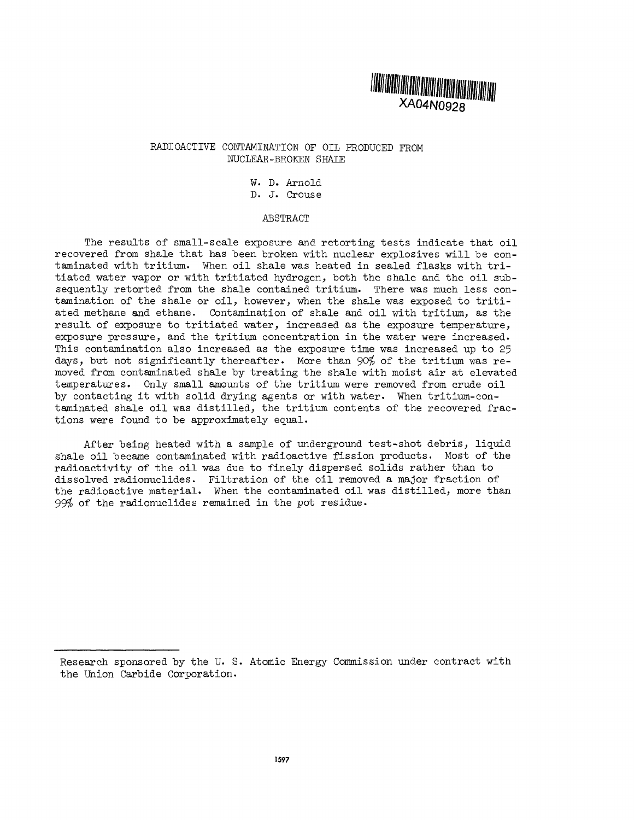

## RADIOACTIVE CONTAMINATION OF OIL PRODUCED FROM NUCLEAR-BROKEN SHALE

W. D. Arnold D. J. Crouse

### ABSTRACT

The results of small-scale exposure and retorting tests indicate that oil recovered from shale that has been broken with nuclear explosives will be contaminated with tritium. When oil shale was heated in sealed flasks with tritiated water vapor or with tritiated hydrogen, both the shale and the oil subsequently retorted from the shale contained tritium. There was much less contamination of the shale or oil, however, when the shale was exposed to tritiated methane and ethane. Contamination of shale and oil with tritium, as the result, of exposure to tritiated water, increased as the exposure temperature, exposure pressure, and the tritium concentration in the water were increased. This contamination also increased as the exposure time was increased up to 25 days, but not significantly thereafter. More than 90% of the tritium was removed from contaminated shale by treating the shale with moist air at elevated temperatures. Only small amounts of the tritium were removed from crude oil by contacting it with solid drying agents or with water. When tritium-contaminated shale oil was distilled, the tritium contents of the recovered fractions were found to be approximately equal.

After being heated with a sample of underground test-shot debris, liquid shale oil became contaminated with radioactive fission products. Most of the radioactivity of the oil was due to finely dispersed solids rather than to dissolved radionuclides. Filtration of the oil removed a major fraction of the radioactive material. When the contaminated oil was distilled, more than  $99%$  of the radionuclides remained in the pot residue.

Research sponsored by the U. S. Atomic Energy Commission under contract with the Union Carbide Corporation.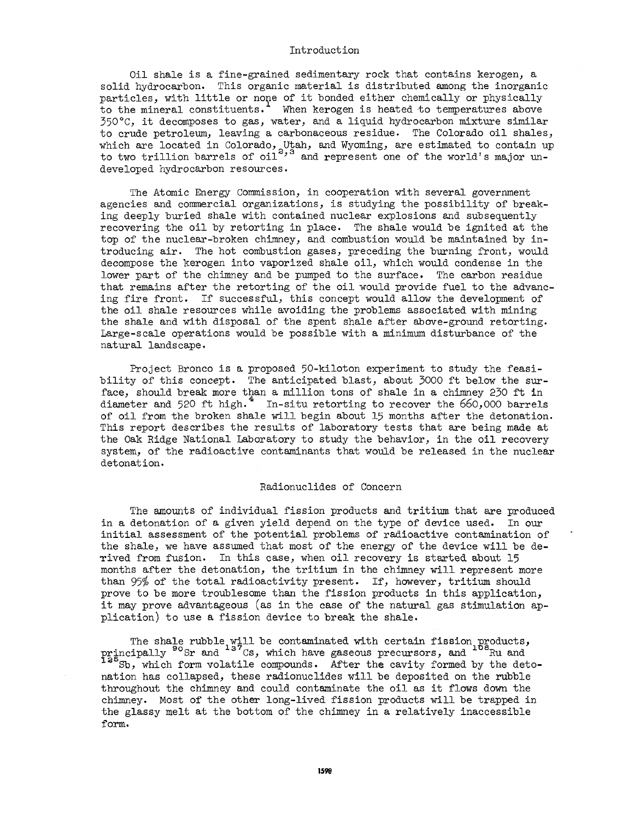#### Introduction

Oil shale is a fine-grained sedimentary rock that contains kerogen, a solid hydrocarbon. This organic material is distributed among the inorganic particles, with little or none of it bonded either chemically or physically to the mineral constituents.<sup>1</sup> When kerogen is heated to temperatures above 350°C, it decomposes to gas, water, and a liquid hydrocarbon mixture similar to crude petroleum, leaving a carbonaceous residue. The Colorado oil shales, which are located in Colorado, Utah, and Wyoming, are estimated to contain up to two trillion barrels of  $\text{oil}^{\sim}$  and represent one of the world's major undeveloped hydrocarbon resources.

The Atomic Energy Commission, in cooperation with several government agencies and commercial organizations, is studying the possibility of breaking deeply buried shale with contained nuclear explosions and subsequently recovering the oil by retorting in place. The shale would be ignited at the top of the nuclear-broken chimney, and combustion would be maintained by introducing air. The hot combustion gases, preceding the burning front, would decompose the kerogen into vaporized shale oil, which would condense in the lower part of the chimney and be pumped to the surface. The carbon residue that remains after the retorting of the oil would provide fuel to the advancing fire front. If successful, this concept would allow the development of the oil shale resources while avoiding the problems associated with mining the shale and with disposal of the spent shale after above-ground retorting. Large-scale operations would be possible with a minimum disturbance of the natural landscape.

Project Bronco is a proposed 50-kiloton experiment to study the feasibility of this concept. The anticipated blast, about 3000 ft below the surface, should break more than a million tons of shale in a chimney 230 ft in diameter and 520 ft high.<sup>4</sup> In-situ retorting to recover the  $660,000$  barrels of oil from the broken shale will begin about 15 months after the detonation. This report describes the results of laboratory tests that are being made at the Oak Ridge National Laboratory to study the behavior, in the oil recovery system, of the radioactive contaminants that would be released in the nuclear detonation.

#### Radionuclides of Concern

The amounts of individual fission products and tritium that are produced in a detonation of a given yield depend on the type of device used. In our initial assessment of the potential problems of radioactive contamination of the shale, we have assumed that most of the energy of the device will be derived from fusion. In this case, when oil recovery is started about 15 months after the detonation, the tritium in the chimney will represent more than 95% of the total radioactivity present. If, however, tritium should prove to be more troublesome than the fission products in this application, it may prove advantageous (as in the case of the natural gas stimulation application) to use a fission device to break the shale.

The shale rubble will be contaminated with certain fission products, principally <sup>90</sup>Sr and <sup>137</sup>Cs, which have gaseous precursors, and <sup>106</sup>Ru an Sb, which form volatile compounds. After the cavity formed by the detonation has collapsed, these radionuclides will be deposited on the rubble throughout the chimney and could contaminate the oil as it flows down the chimney. Most of the other long-lived fission products will be trapped in the glassy melt at the bottom of the chimney in a relatively inaccessible form.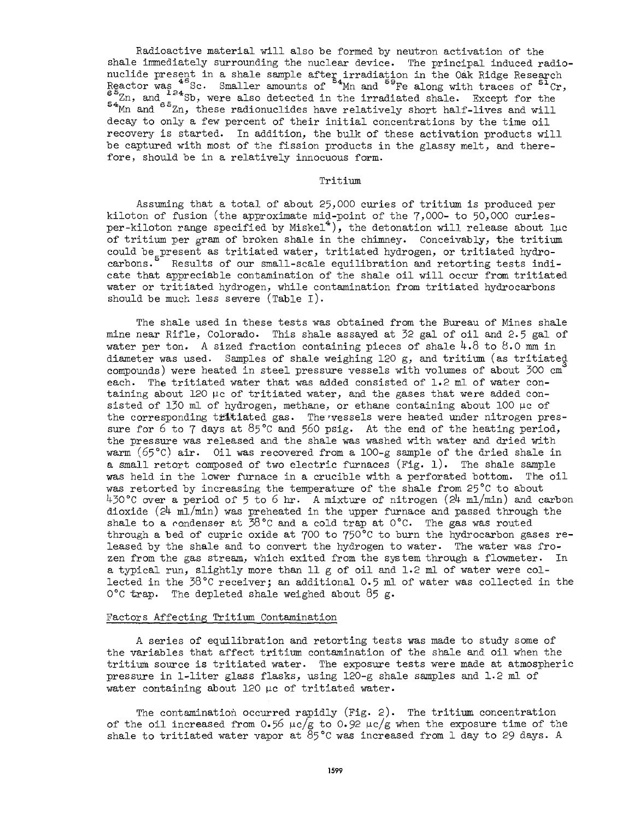Radioactive material will also be formed by neutron activation of the shale immediately surrounding the nuclear device. The principal induced radionuclide present in a shale sample after irradiation in the Oak Ridge Research Reactor was <sup>48</sup>Sc. Smaller amounts of <sup>54</sup>Mn and <sup>59</sup>Fe along with traces of <sup>51</sup>C Zn, and <sup>2</sup> sb, were also detected in the irradiated shale. Except for the Mn and  $^{\circ}$   $^{\circ}$ Zn, these radionuclides have relatively short half-lives and will decay to only a few percent of their initial concentrations by the time oil recovery is started. In addition, the bulk of these activation products will be captured with most of the fission products in the glassy melt, and there fore, should be in a relatively innocuous form.

Tritium

Assuming that a total of about 25,000 curies of tritium is produced per kiloton of fusion (the approximate mid-point of the  $7,000$ - to  $50,000$  curiesper-kiloton range specified by Miskel<sup>4</sup>), the detonation will release about lµc of tritium per gram of broken shale in the chimney. Conceivably, the tritium could be present as tritiated water, tritiated hydrogen, or tritiated hydro carbons. Results of our small-scale equilibration and retorting tests indicate that appreciable contamination of the shale oil will occur from tritiated water or tritiated hydrogen, while contamination from tritiated hydrocarbons should be much less severe (Table I).

The shale used in these tests was obtained from the Bureau of Mines shale mine near Rifle, Colorado. This shale assayed at 32 gal of oil and 2.5 gal of water per ton. A sized fraction containing pieces of shale 4.8 to 8.0 mm in diameter was used. Samples of shale weighing 120 g, and tritium (as tritiated compounds) were heated in steel pressure vessels with volumes of about 300 cm each. The tritiated water that was added consisted of 1.2 ml of water con taining about 120 μc of tritiated water, and the gases that were added con sisted of 130 ml of hydrogen, methane, or ethane containing about 100 μc of the corresponding tritiated gas. The vessels were heated under nitrogen pressure for 6 to 7 days at  $85^{\circ}$ C and 560 psig. At the end of the heating period, the pressure was released and the shale was washed with water and dried with warm (65 $^{\circ}$ C) air. Oil was recovered from a 100-g sample of the dried shale in a small retort composed of two electric furnaces  $(Fig. 1)$ . The shale sample was held in the lower furnace in a crucible with a perforated bottom. The oil was retorted by increasing the temperature of the shale from 25°C to about ^-30°C over a period of 5 to 6 hr. A mixture of nitrogen *(2k-* ml/min) and carbon dioxide *(2k* ml/min) was preheated in the upper furnace and passed through the shale to a condenser at  $38^{\circ}$ C and a cold trap at  $0^{\circ}$ C. The gas was routed through a bed of cupric oxide at 700 to 750°C to burn the hydrocarbon gases released by the shale and to convert the hydrogen to water. The water was fro zen from the gas stream, which exited from the system through a flowmeter. In a typical run, slightly more than 11 g of oil and 1.2 ml of water were col lected in the  $38^{\circ}$ C receiver; an additional 0.5 ml of water was collected in the 0°C trap. The depleted shale weighed about  $85 g$ .

### Factors Affecting Tritium Contamination

A series of equilibration and retorting tests was made to study some of the variables that affect tritium contamination of the shale and oil when the tritium source is tritiated water. The exposure tests were made at atmospheric pressure in 1-liter glass flasks, using 120-g shale samples and 1.2 ml of water containing about 120 μc of tritiated water.

The contamination occurred rapidly (Fig. 2). The tritium concentration of the oil increased from 0.56 μc/g to 0.92 μc/g when the exposure time of the shale to tritiated water vapor at  $85^{\circ}$ C was increased from 1 day to 29 days. A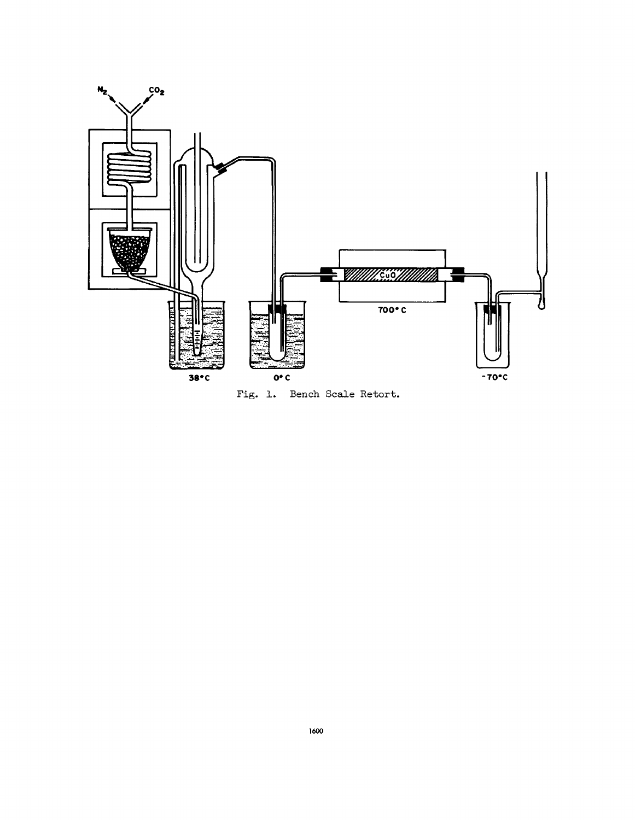

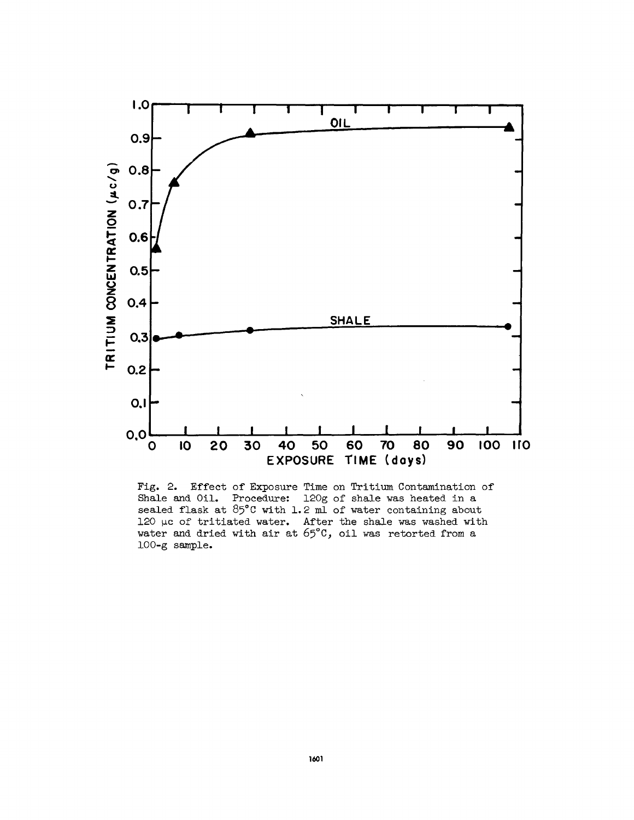

Fig. 2. Effect of Exposure Time on Tritium Contamination of Shale and Oil. Procedure: 120g of shale was heated in a sealed flask at  $85^{\circ}$ C with 1.2 ml of water containing about 120 µc of tritiated water. After the shale was washed with water and dried with air at  $65^{\circ}$ C, oil was retorted from a 100-g sample.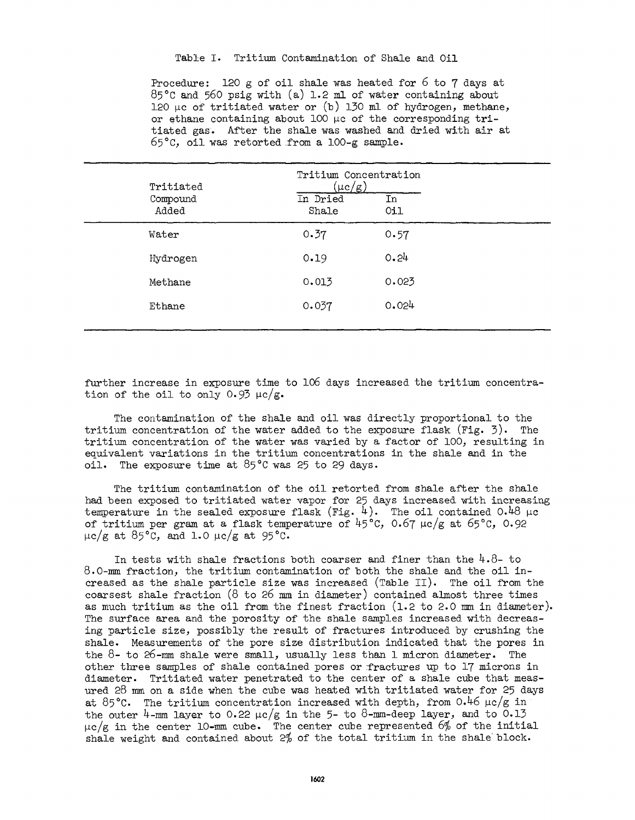# Table I. Tritium Contamination of Shale and Oil

Procedure: 120 g of oil shale was heated for 6 to 7 days at 85°C and 56O psig with (a) 1.2 ml of water containing about 120 μc of tritiated water or  $(b)$  130 ml of hydrogen, methane, or ethane containing about 100  $\mu$ c of the corresponding tritiated gas. After the shale was washed and dried with air at  $65^{\circ}$ C, oil was retorted from a  $100 - g$  sample.

| Tritiated         | Tritium Concentration<br>$(\mu {\rm c/g})$ |                               |  |
|-------------------|--------------------------------------------|-------------------------------|--|
| Compound<br>Added | In Dried<br>Shale                          | $\overline{\text{In}}$<br>Oi1 |  |
| Water             | 0.37                                       | 0.57                          |  |
| Hydrogen          | 0.19                                       | 0.24                          |  |
| Methane           | 0.013                                      | 0.023                         |  |
| Ethane            | 0.037                                      | 0.024                         |  |

further increase in exposure time to 106 days increased the tritium concentra tion of the oil to only 0.93  $\mu$ c/g.

The contamination of the shale and oil was directly proportional to the tritium concentration of the water added to the exposure flask  $(Fig. 3)$ . The tritium concentration of the water was varied by a factor of 100, resulting in equivalent variations in the tritium concentrations in the shale and in the oil. The exposure time at 85°C was 25 to 29 days.

The tritium contamination of the oil retorted from shale after the shale had been exposed to tritiated water vapor for 25 days increased with increasing temperature in the sealed exposure flask  $(Fig. 4)$ . The oil contained 0.48  $\mu$ c of tritium per gram at a flask temperature of  $45^{\circ}$ C, O.67 μc/g at 65°C, O.92 μc/g at 85°C, and 1.0 μc/g at 95°C.

In tests with shale fractions both coarser and finer than the *k.Q-* to 8.0-mm fraction, the tritium contamination of both the shale and the oil in creased as the shale particle size was increased (Table II). The oil from the coarsest shale fraction  $(8 \text{ to } 26 \text{ mm in diameter})$  contained almost three times as much tritium as the oil from the finest fraction (1.2 to 2.0 mm in diameter). The surface area and the porosity of the shale samples increased with decreasing particle size, possibly the result of fractures introduced by crushing the shale. Measurements of the pore size distribution indicated that the pores in the  $8$ - to  $26$ -mm shale were small, usually less than 1 micron diameter. The other three samples of shale contained pores or fractures up to 17 microns in diameter. Tritiated water penetrated to the center of a shale cube that meas ured 28 mm on a side when the cube was heated with tritiated water for 25 days at 85 °C. The tritium concentration increased with depth, from  $0.46 \mu c/g$  in the outer 4-mm layer to 0.22  $\mu c/g$  in the 5- to 8-mm-deep layer, and to 0.13  $\mu$ c/g in the center 10-mm cube. The center cube represented 6% of the initial shale weight and contained about  $2\%$  of the total tritium in the shale block.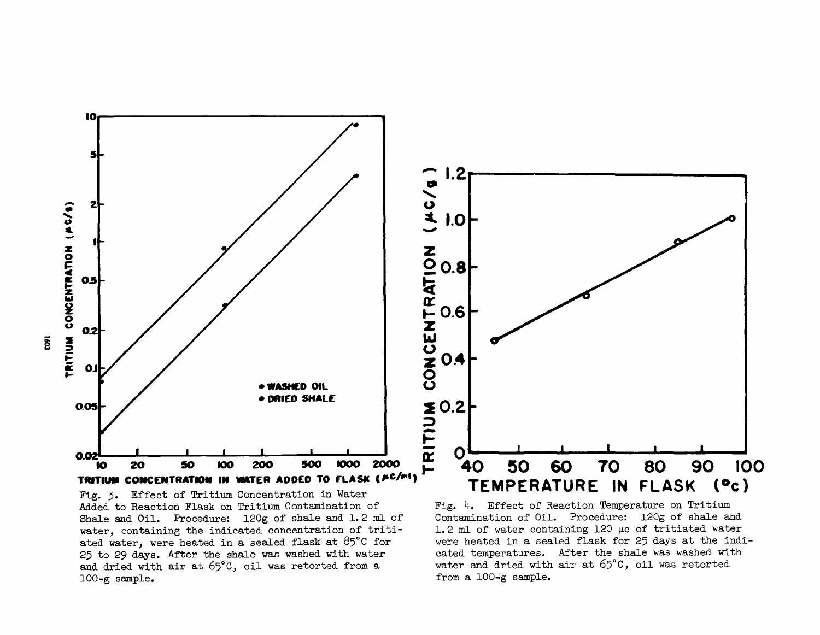

Fig. 3. Effect of Tritium Concentration in Water Added to Reaction Flask on Tritium Contamination of Shale and Oil. Procedure: 120g of shale and 1. 2 ml of water, containing the indicated concentration of tritiated water, were heated in a sealed flask at  $85^{\circ}$ C for 25 to 29 days. After the shale was washed with water and dried with air at 65°C, oil was retorted from a 100-g sample.

Fig. *k.* Effect of Reaction Temperature on Tritium Contamination of Oil. Procedure: 120g of shale and 1.2 ml of water containing 120 μc of tritiated water were heated in a sealed flask for 25 days at the indi cated temperatures. After the shale was washed with water and dried with air at 65°C, oil was retorted from a 100-g sample.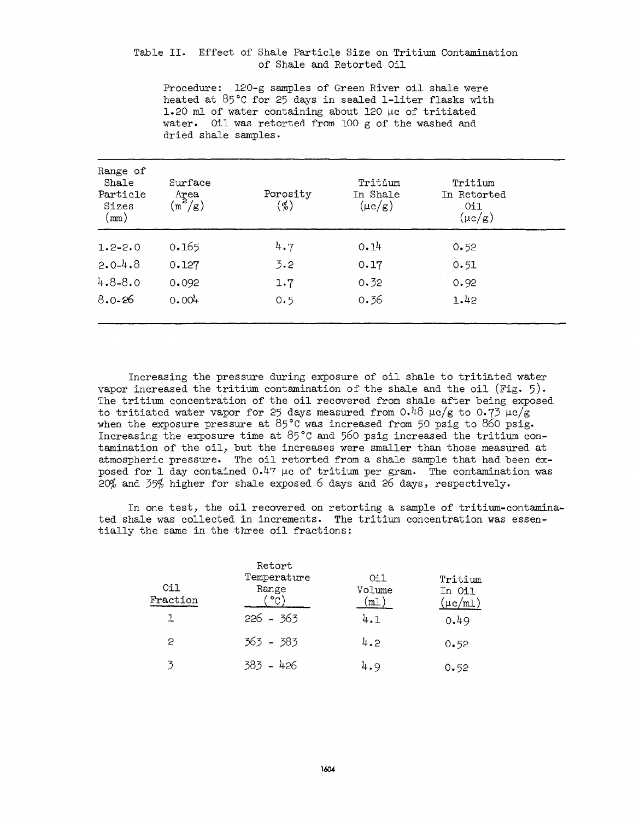# Table II. Effect of Shale Particle Size on Tritium Contamination of Shale and Retorted Oil

Procedure: 120-g samples of Green River oil shale were heated at 85°C for 25 days in sealed 1-liter flasks with 1.20 ml of water containing about 120 μc of tritiated water. Oil was retorted from 100 g of the washed and dried shale samples.

| Range of<br>Shale<br>Particle<br>Sizes<br>$\text{\tiny (mm)}$ | Surface<br>Area<br>$\overline{(\mathfrak{m}^2/\mathrm{g})}$ | Porosity<br>(%) | Tritium<br>In Shale<br>$(\mu c/g)$ | Tritium<br>In Retorted<br>Oil<br>$(\mu c/g)$ |  |
|---------------------------------------------------------------|-------------------------------------------------------------|-----------------|------------------------------------|----------------------------------------------|--|
| $1.2 - 2.0$                                                   | 0.165                                                       | 4.7             | 0.14                               | 0.52                                         |  |
| $2.0 - 4.8$                                                   | 0.127                                                       | 3.2             | 0.17                               | 0.51                                         |  |
| $4.8 - 8.0$                                                   | 0.092                                                       | 1.7             | 0.32                               | 0.92                                         |  |
| $8.0 - 26$                                                    | 0.004                                                       | 0.5             | 0.36                               | 1.42                                         |  |

Increasing the pressure during exposure of oil shale to tritiated water vapor increased the tritium contamination of the shale and the oil  $(Fig. 5)$ . The tritium concentration of the oil recovered from shale after being exposed to tritiated water vapor for 25 days measured from  $0.48 \mu c/g$  to  $0.73 \mu c/g$ when the exposure pressure at 85°C was increased from 50 psig to 860 psig. Increasing the exposure time at 85°C and 560 psig increased the tritium con tamination of the oil, but the increases were smaller than those measured at atmospheric pressure. The oil retorted from a shale sample that had been ex posed for 1 day contained  $0.47$  µc of tritium per gram. The contamination was  $20\%$  and  $35\%$  higher for shale exposed 6 days and 26 days, respectively.

In one test, the oil recovered on retorting a sample of tritium-contamina ted shale was collected in increments. The tritium concentration was essen tially the same in the three oil fractions:

| Oil<br>Fraction | Retort<br>Temperature<br>Range | Oil<br>Volume<br>m1 | Tritium<br>In Oil<br>$(\mu c/\texttt{ml})$ |
|-----------------|--------------------------------|---------------------|--------------------------------------------|
| ı               | $226 - 363$                    | 4.1                 | 0.49                                       |
| 2               | 363 - 383                      | 4.2                 | 0.52                                       |
| 3               | 383 - 426                      | 4.9                 | 0.52                                       |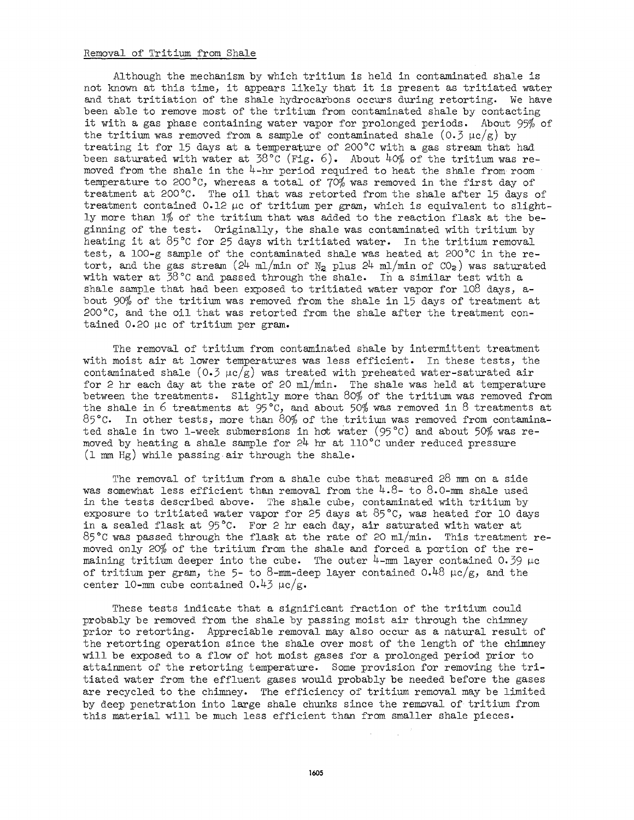### Removal of Tritium from Shale

Although the mechanism by which tritium is held in contaminated shale is not known at this time, it appears likely that it is present as tritiated water and that tritiation of the shale hydrocarbons occurs during retorting. We have been able to remove most of the tritium from contaminated shale by contacting it with a gas phase containing water vapor for prolonged periods. About 95% of the tritium was removed from a sample of contaminated shale  $(0.3 \mu c/g)$  by treating it for 15 days at a temperature of 200°C with a gas stream that had been saturated with water at 38°C (Fig. 6). About  $40\%$  of the tritium was removed from the shale in the  $4-hr$  period required to heat the shale from room temperature to 200°C, whereas a total of  $70\%$  was removed in the first day of treatment at 200°C. The oil that was retorted from the shale after 15 days of treatment contained  $0.12 \mu c$  of tritium per gram, which is equivalent to slightly more than  $1\%$  of the tritium that was added to the reaction flask at the beginning of the test. Originally, the shale was contaminated with tritium by heating it at 85°C for 25 days with tritiated water. In the tritium removal test, a 100-g sample of the contaminated shale was heated at 200°C in the re tort, and the gas stream  $(24 \text{ ml/min of N}_2 \text{ plus } 24 \text{ ml/min of } CO_2)$  was saturated with water at  $58^{\circ}$ C and passed through the shale. In a similar test with a shale sample that had been exposed to tritiated water vapor for 108 days, about 90% of the tritium was removed from the shale in 15 days of treatment at 200°C, and the oil that was retorted from the shale after the treatment con tained 0.20 μc of tritium per gram.

The removal of tritium from contaminated shale by intermittent treatment with moist air at lower temperatures was less efficient. In these tests, the contaminated shale  $(0.3 \text{ }\mu\text{C/g})$  was treated with preheated water-saturated air for 2 hr each day at the rate of 20  $m/m$ . The shale was held at temperature between the treatments. Slightly more than 80% of the tritium was removed from the shale in 6 treatments at  $95^{\circ}$ C, and about 50% was removed in 8 treatments at 85 $^{\circ}$ C. In other tests, more than 80% of the tritium was removed from contaminated shale in two 1-week submersions in hot water (95 °C) and about 50% was removed by heating a shale sample for *2k-* hr at 110°C under reduced pressure (l mm Hg) while passing air through the shale.

The removal of tritium from a shale cube that measured 28 mm on a side was somewhat less efficient than removal from the *k.Q-* to 8.0-mm shale used in the tests described above. The shale cube, contaminated with tritium by exposure to tritiated water vapor for 25 days at  $85^{\circ}$ C, was heated for 10 days in a sealed flask at  $95^{\circ}$ C. For 2 hr each day, air saturated with water at 85°C was passed through the flask at the rate of 20 ml/min. This treatment re moved only 20% of the tritium from the shale and forced a portion of the remaining tritium deeper into the cube. The outer  $4$ -mm layer contained 0.39  $\mu$ c of tritium per gram, the 5- to 8-mm-deep layer contained  $0.48 \mu c/g$ , and the center 10-mm cube contained  $0.43 \mu c/g$ .

These tests indicate that a significant fraction of the tritium could probably be removed from the shale by passing moist air through the chimney prior to retorting. Appreciable removal may also occur as a natural result of the retorting operation since the shale over most of the length of the chimney will be exposed to a flow of hot moist gases for a prolonged period prior to attainment of the retorting temperature. Some provision for removing the tri tiated water from the effluent gases would probably be needed before the gases are recycled to the chimney. The efficiency of tritium removal may be limited by deep penetration into large shale chunks since the removal of tritium from this material will be much less efficient than from smaller shale pieces.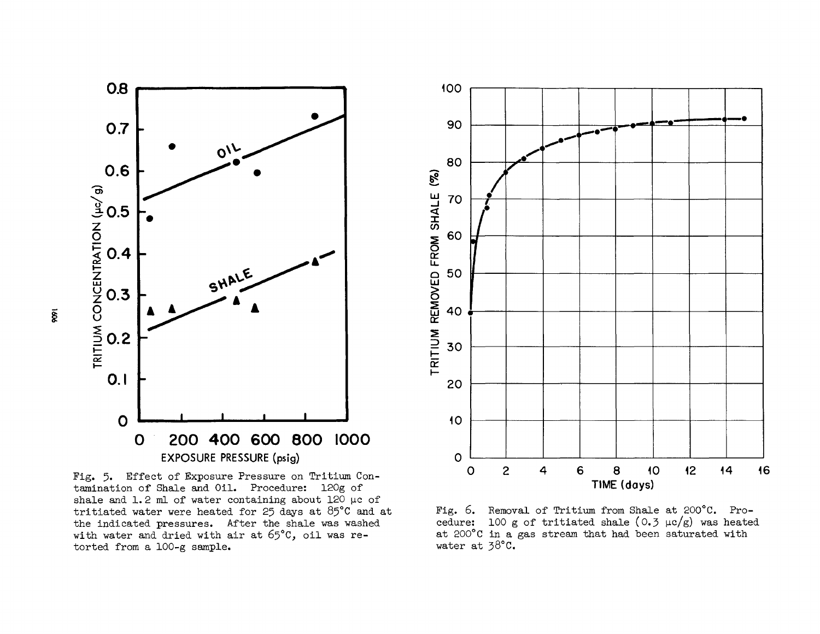

Fig. 5. Effect of Exposure Pressure on Tritium Contamination of Shale and Oil. Procedure: 120g of shale and 1.2 ml of water containing about 120 µc of tritiated water were heated for 25 days at  $85^{\circ}$ C and at the indicated pressures. After the shale was washed with water and dried with air at 65°C, oil was retorted from a 100-g sample.



Fig. 6. Removal of Tritium from Shale at 200°C. Procedure: 100 g of tritiated shale (0.3  $\mu$ c/g) was heated at 200°C in a gas stream that had been saturated with water at 38°C.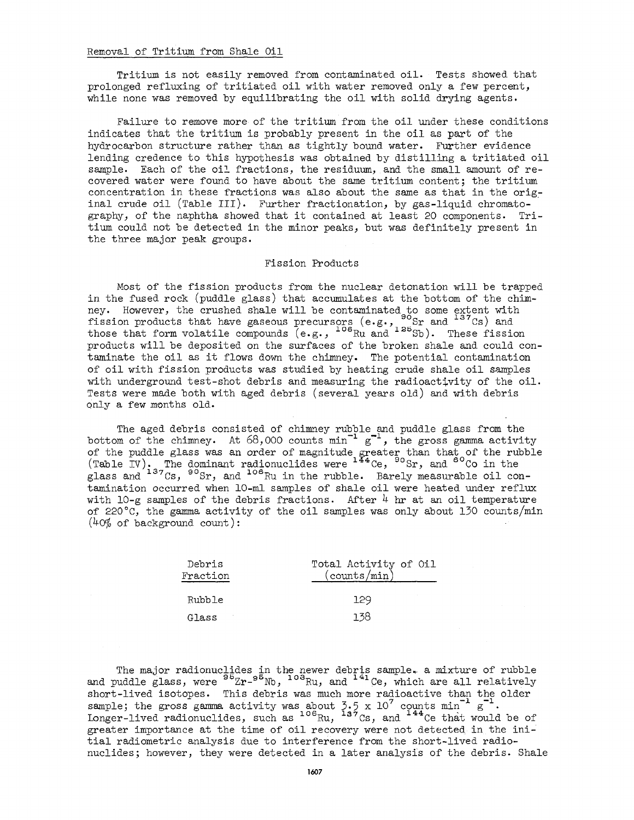#### Removal of Tritium, from Shale Oil

Tritium is not easily removed from contaminated oil. Tests showed that prolonged refluxing of tritiated oil with water removed only a few percent, while none was removed by equilibrating the oil with solid drying agents.

Failure to remove more of the tritium from the oil under these conditions indicates that the tritium is probably present in the oil as part of the hydrocarbon structure rather than as tightly bound water. Further evidence lending credence to this hypothesis was obtained by distilling a tritiated oil sample. Each of the oil fractions, the residuum, and the small amount of recovered water were found to have about the same tritium content; the tritium concentration in these fractions was also about the same as that in the orig inal crude oil (Table III). Further fractionation, by gas-liquid chromatography, of the naphtha showed that it contained at least 20 components. Tri tium could not be detected in the minor peaks, but was definitely present in the three major peak groups.

# Fission Products

Most of the fission products from the nuclear detonation will be trapped in the fused rock (puddle glass) that accumulates at the bottom of the chim ney. However, the crushed shale will be contaminated to some extent with fission products that have gaseous precursors (e.g.,  $^{90}$ Sr and  $^{137}$ Cs) and those that form volatile compounds  $(e.g.,$   $^{106}Ru$  and  $^{125}Sb$ ). These fissio products will be deposited on the surfaces of the broken shale and could con taminate the oil as it flows down the chimney. The potential contamination of oil with fission products was studied by heating crude shale oil samples with underground test-shot debris and measuring the radioactivity of the oil. Tests were made both with aged debris (several years old) and with debris only a few months old.

The aged debris consisted of chimney rubble and puddle glass from the bottom of the chimney. At  $68,000$  counts min<sup>-1</sup>  $g^{-1}$ , the gross gamma activity of the puddle glass was an order of magnitude greater than that of the rubble (Table IV). The dominant radionuclides were  $^{144}$ Ce,  $^{90}$ Sr, and  $^{60}$ Co in th glass and  $^{137}$ Cs,  $^{90}$ Sr, and  $^{106}$ Ru in the rubble. Barely measurable oil c tamination occurred when 10-ml samples of shale oil were heated under reflux with 10-g samples of the debris fractions. After *k* hr at an oil temperature of 220°C, the gamma activity of the oil samples was only about 130 counts/min  $(40\% \text{ of background count})$ :

| Debris<br>Fraction | Total Activity of Oil<br>(counts/min) |
|--------------------|---------------------------------------|
| Rubble             | 129                                   |
| Glass              | 1 38                                  |

The major radionuclides in the newer debris sample. a mixture of rubble and puddle glass, were  $^{95}Zr-^{95}Nb$ ,  $^{103}Ru$ , and  $^{141}Ce$ , which are all relativel short-lived isotopes. This debris was much more radioactive than the older sample; the gross gamma activity was about 3.5 x 10<sup>7</sup> counts min<sup>-1</sup> g  $^{106}$ Bu  $^{137}$ Cs and  $^{144}$ Ce that greater importance at the time of oil recovery were not detected in the initial radiometric analysis due to interference from the short-lived radio $t_{\text{max}}$  radiometric analysis due to interference from the short-lived radio  $\frac{1}{2}$  analysis of the debris.  $h_{\text{max}}$  however, they were detected in a later analysis of the debris. Shale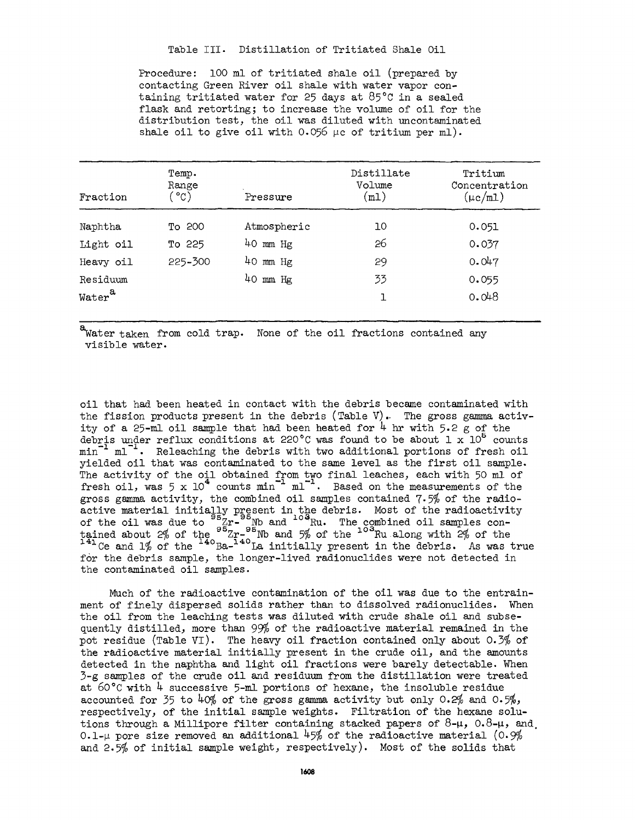Table III. Distillation of Tritiated Shale Oil

Procedure: 100 ml of tritiated shale oil (prepared by contacting Green River oil shale with water vapor con taining tritiated water for 25 days at 85°C in a sealed flask and retorting; to increase the volume of oil for the distribution test, the oil was diluted with uncontaminated shale oil to give oil with 0.056  $\mu$ c of tritium per ml).

| Fraction           | Temp.<br>Range<br>ັ°C) | Pressure     | Distillate<br>Volume<br>(m1) | Tritium<br>Concentration<br>$(\mu c/m1)$ |
|--------------------|------------------------|--------------|------------------------------|------------------------------------------|
| Naphtha            | To 200                 | Atmospheric  | 10                           | 0.051                                    |
| Light oil          | To 225                 | $40$ mm $Hg$ | 26                           | 0.037                                    |
| Heavy oil          | 225-300                | $40$ mm $Hg$ | 29                           | 0.047                                    |
| Residuum           |                        | $40$ mm $Hg$ | 33                           | 0.055                                    |
| Water <sup>a</sup> |                        |              |                              | 0.048                                    |

a Water taken from cold trap. None of the oil fractions contained any visible water.

oil that had been heated in contact with the debris became contaminated with the fission products present in the debris (Table V). The gross gamma activity of a 25-ml oil sample that had been heated for *k* hr with 5.2 g of the debris under reflux conditions at 220°C was found to be about 1  $\mathrm{x}$  10<sup>5</sup> counts  $min^{-1}$   $ml^{-1}$ . Releaching the debris with two additional portions of fresh oil yielded oil that was contaminated to the same level as the first oil sample. The activity of the oil obtained from two final leaches, each with 50 ml of fresh oil, was 5 x 10<sup>\*</sup> counts  $min^{-1}$   $ml^{-1}$ . Based on the measurements of the gross gamma activity, the combined oil samples contained  $7.5\%$  of the radioactive material initially present in the debris. Most of the radioactivity of the oil was due to  $^{95}Zr^{-95}$  Nb and  $^{104}$ Ru. The combined oil samples co tained about 2% of the  $^{95}$ Zr- $^{95}$ Nb and 5% of the  $^{103}$ Ru along with 2% of th <sup>141</sup> Ce and 1% of the <sup>140</sup> Ba-<sup>140</sup> La initially present in the debris. As was true for the debris sample, the longer-lived radionuclides were not detected in the contaminated oil samples.

Much of the radioactive contamination of the oil was due to the entrain ment of finely dispersed solids rather than to dissolved radionuclides. When the oil from the leaching tests was diluted with crude shale oil and subsequently distilled, more than 99% of the radioactive material remained in the pot residue (Table VI). The heavy oil fraction contained only about 0.3% of the radioactive material initially present in the crude oil, and the amounts detected in the naphtha and light oil fractions were barely detectable. When  $5 - g$  samples of the crude oil and residuum from the distillation were treated at 60°C with *k* successive 5-ml portions of hexane, the insoluble residue accounted for 35 to  $40\%$  of the gross gamma activity but only 0.2% and 0.5%, respectively, of the initial sample weights. Filtration of the hexane solu tions through a Millipore filter containing stacked papers of  $8-\mu$ ,  $0.8-\mu$ , and, 0.1- $\mu$  pore size removed an additional 45% of the radioactive material (0.9%) and 2.5\$ of initial sample weight, respectively). Most of the solids that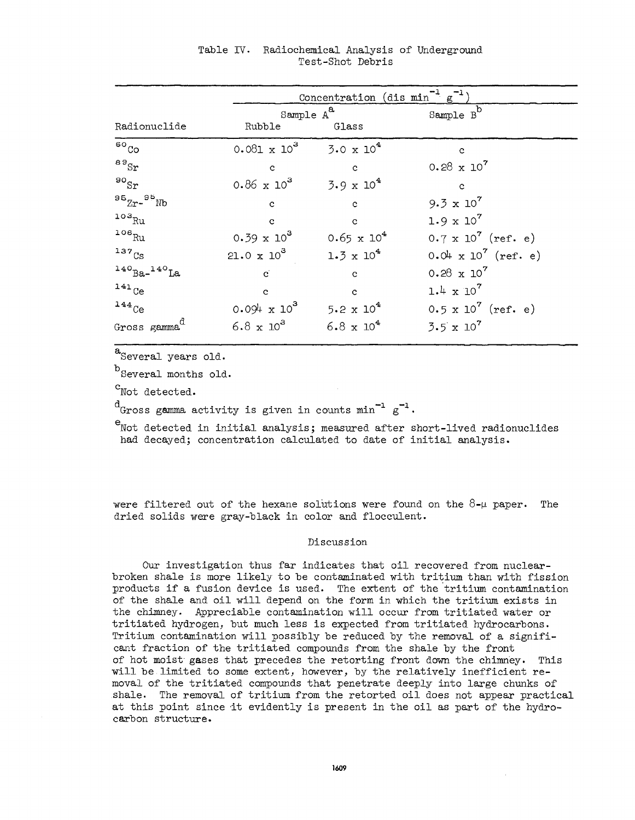|                          | <u>Concentration</u> (dis $min^{-1} g^{-1}$ |                              |                               |  |
|--------------------------|---------------------------------------------|------------------------------|-------------------------------|--|
|                          | Sample $A^a$                                |                              | Sample $B^b$                  |  |
| Radionuclide             | Rubble                                      | Glass                        |                               |  |
| ${}^{60}$ Co             | $0.081 \times 10^3$                         | $3.0 \times 10^4$            | $\mathbf c$                   |  |
| 89Sr                     | $\mathbf{c}$                                | $\mathbf{c}$                 | $0.28 \times 10^7$            |  |
| $^{90}$ Sr               | $0.86 \times 10^3$                          | $3.9 \times 10^4$            | $\mathbf{c}$                  |  |
| $95Zr-95Nb$              | $\mathbf{c}$                                | $\mathbf{c}$                 | $9.3 \times 10^{7}$           |  |
| $103$ Ru                 | $\mathbf c$                                 | $\mathbf{c}$                 | $1.9 \times 10^{7}$           |  |
| $106$ Ru                 | $0.39 \times 10^3$                          | $0.65 \times 10^{4}$         | $0.7 \times 10^{7}$ (ref. e)  |  |
| $137$ <sub>Cs</sub>      | $21.0 \times 10^3$                          | $1.3 \times 10^{4}$          | $0.04 \times 10^{7}$ (ref. e) |  |
| $140$ Ba- $140$ La       | $\mathbf{c}$                                | $\mathbf{c}$                 | $0.28 \times 10^7$            |  |
| $141$ Ce                 | $\mathbf{c}$                                | $\mathbf{c}$                 | $1.4 \times 10^{7}$           |  |
| $144$ <sub>Ce</sub>      | $0.094 \times 10^{3}$                       | 5.2 $\times$ 10 <sup>4</sup> | $0.5 \times 10^{7}$ (ref. e)  |  |
| Gross gamma <sup>d</sup> | $6.8 \times 10^3$                           | $6.8 \times 10^{4}$          | $3.5 \times 10^7$             |  |

Table IV. Radiochemical Analysis of Underground Test-Shot Debris

 $a$ Several years old.

 $^{\rm b}$  Several months old.

<sup>C</sup>Not detected.

 $d_{\alpha_{\text{model}}}$  commo octivity is siven in counts  $m^{1}$   $a^{-1}$ Gross gamma activity is given in counts min g

<sup>e</sup>Not detected in initial analysis; measured after short-lived radionuclides had decayed; concentration calculated to date of initial analysis. had decayed; concentration calculated to date of initial analysis.

were filtered out of the hexane solutions were found on the  $8-\mu$  paper. The dried solids were gray-black in color and flocculent.

# Discussion

Our investigation thus far indicates that oil recovered from nuclear broken shale is more likely to be contaminated with tritium than with fission products if a fusion device is used. The extent of the tritium contamination of the shale and oil will depend on the form in which the tritium exists in the chimney. Appreciable contamination will occur from tritiated water or tritiated hydrogen, but much less is expected from tritiated hydrocarbons. Tritium contamination will possibly be reduced by the removal of a signifi cant fraction of the tritiated compounds from the shale by the front of hot moist" gases that precedes the retorting front down the chimney. This will be limited to some extent, however, by the relatively inefficient re moval of the tritiated compounds that penetrate deeply into large chunks of shale. The removal of tritium from the retorted oil does not appear practical at this point since it evidently is present in the oil as part of the hydrocarbon structure.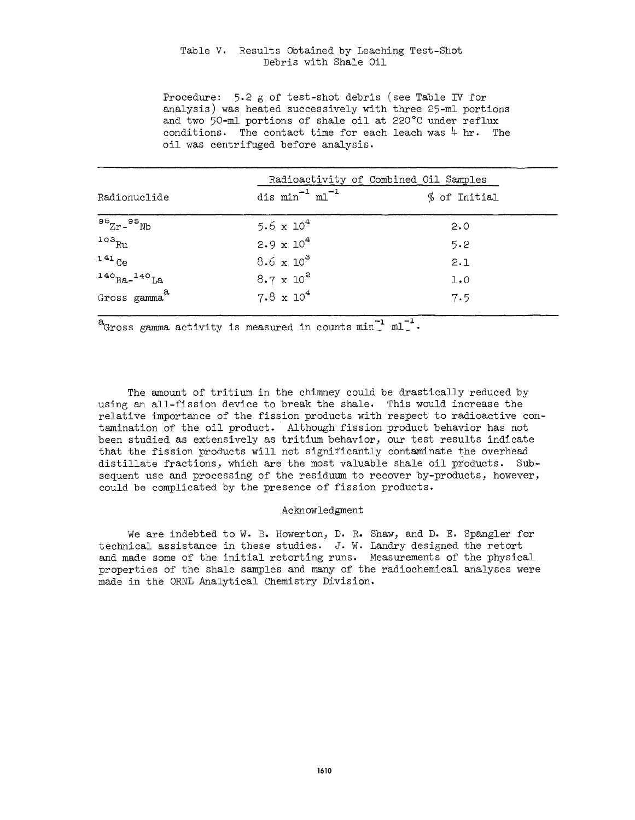## Table V. Results Obtained by Leaching Test-Shot Debris with Shale Oil

Procedure: 5.2 g of test-shot debris (see Table IV for analysis) was heated successively with three 25-ml portions and two 50-nil portions of shale oil at 220°C under reflux conditions. The contact time for each leach was  $4 \text{ hr}$ . The oil was centrifuged before analysis.

| Radioactivity of Combined Oil Samples |                              |                |
|---------------------------------------|------------------------------|----------------|
| Radionuclide                          | dis $min^{-1}$ $ml^{-1}$     | $%$ of Initial |
| $952r - 95Nb$                         | 5.6 $\times$ 10 <sup>4</sup> | 2.0            |
| $103_{Ru}$                            | $2.9 \times 10^4$            | 5.2            |
| $141$ Ce                              | $8.6 \times 10^3$            | 2.1            |
| $140$ Ba- $140$ La                    | $8.7 \times 10^{2}$          | 1.0            |
| Gross gamma <sup>a</sup>              | $7.8 \times 10^4$            | 7.5            |

 $a$  Gross gamma activity is measured in counts  $min^{-1}$   $ml^{-1}$ .

The amount of tritium in the chimney could be drastically reduced by using an all-fission device to break the shale. This would increase the relative importance of the fission products with respect to radioactive contamination of the oil product. Although fission product behavior has not been studied as extensively as tritium behavior, our test results indicate that the fission products will not significantly contaminate the overhead distillate fractions, which are the most valuable shale oil products. Subsequent use and processing of the residuum to recover by-products, however, could be complicated by the presence of fission products.

### Acknowledgment

We are indebted to W. B. Howerton, D. R. Shaw, and D. E. Spangler for technical assistance in these studies. J. W. Landry designed the retort and made some of the initial retorting runs. Measurements of the physical properties of the shale samples and many of the radiochemical analyses were made in the ORNL Analytical Chemistry Division.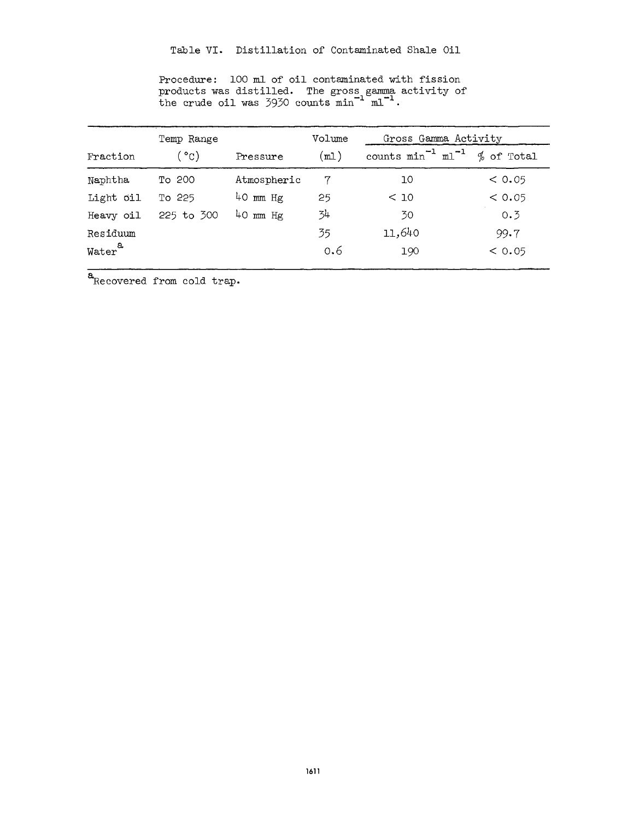| Temp Range         |                 | Volume       | Gross Gamma Activity |                             |            |
|--------------------|-----------------|--------------|----------------------|-----------------------------|------------|
| Fraction           | <sub>ື</sub> ແ) | Pressure     | (m <sub>l</sub> )    | counts $min^{-1}$ $ml^{-1}$ | % of Total |
| Naphtha            | To 200          | Atmospheric  |                      | 10                          | < 0.05     |
| Light oil          | To 225          | $40$ mm Hg   | 25                   | < 10                        | < 0.05     |
| Heavy oil          | 225 to 300      | $40$ mm $Hg$ | 34                   | 30                          | 0.3        |
| Residuum           |                 |              | 35                   | 11,640                      | 99.7       |
| Water <sup>a</sup> |                 |              | 0,6                  | 190                         | < 0.05     |

Procedure: 100 ml of oil contaminated with fission products was distilled. The gross gamma activity of the crude oil was  $3930$  counts  $min^{-1}$   $ml^{-1}$ .

 $\overline{\mathbf{a}}$  Recovered from cold trap.